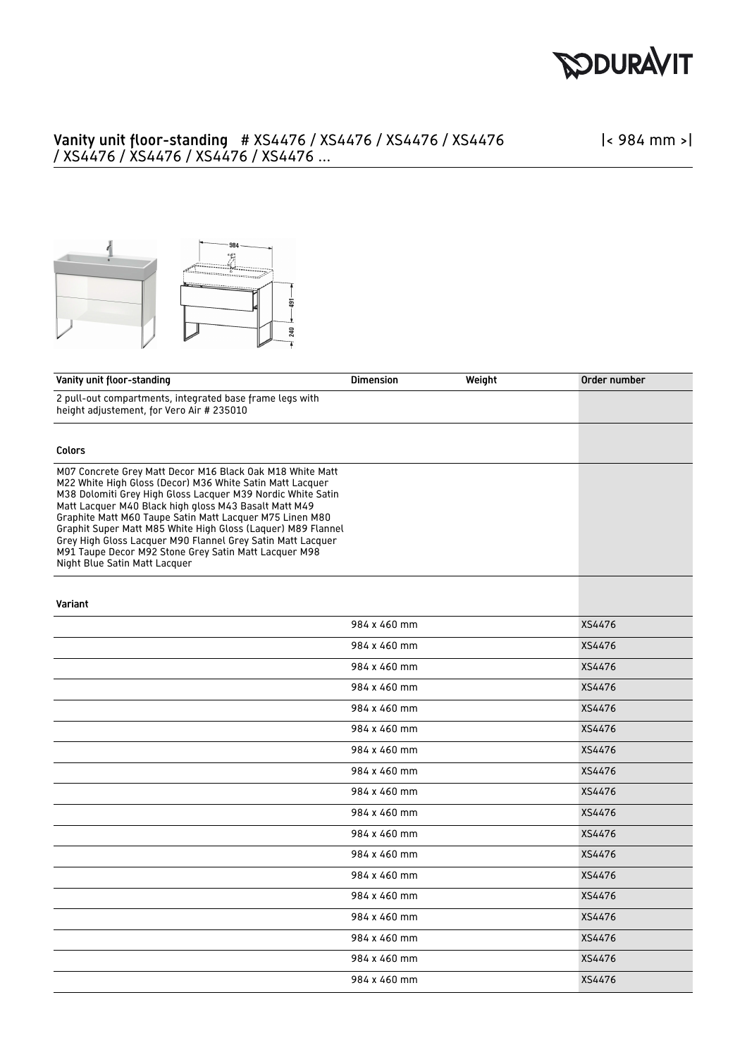

## Vanity unit floor-standing # XS4476 / XS4476 / XS4476 / XS4476 / XS4476 / XS4476 / XS4476 / XS4476 ...

|< 984 mm >|



| Vanity unit floor-standing                                                                                                                                                                                                                                                                                                                                                                                                                                                                                                          | <b>Dimension</b> | Weight | Order number |
|-------------------------------------------------------------------------------------------------------------------------------------------------------------------------------------------------------------------------------------------------------------------------------------------------------------------------------------------------------------------------------------------------------------------------------------------------------------------------------------------------------------------------------------|------------------|--------|--------------|
| 2 pull-out compartments, integrated base frame legs with<br>height adjustement, for Vero Air # 235010                                                                                                                                                                                                                                                                                                                                                                                                                               |                  |        |              |
|                                                                                                                                                                                                                                                                                                                                                                                                                                                                                                                                     |                  |        |              |
| <b>Colors</b>                                                                                                                                                                                                                                                                                                                                                                                                                                                                                                                       |                  |        |              |
| M07 Concrete Grey Matt Decor M16 Black Oak M18 White Matt<br>M22 White High Gloss (Decor) M36 White Satin Matt Lacquer<br>M38 Dolomiti Grey High Gloss Lacquer M39 Nordic White Satin<br>Matt Lacquer M40 Black high gloss M43 Basalt Matt M49<br>Graphite Matt M60 Taupe Satin Matt Lacquer M75 Linen M80<br>Graphit Super Matt M85 White High Gloss (Laquer) M89 Flannel<br>Grey High Gloss Lacquer M90 Flannel Grey Satin Matt Lacquer<br>M91 Taupe Decor M92 Stone Grey Satin Matt Lacquer M98<br>Night Blue Satin Matt Lacquer |                  |        |              |
| Variant                                                                                                                                                                                                                                                                                                                                                                                                                                                                                                                             |                  |        |              |
|                                                                                                                                                                                                                                                                                                                                                                                                                                                                                                                                     | 984 x 460 mm     |        | XS4476       |
|                                                                                                                                                                                                                                                                                                                                                                                                                                                                                                                                     | 984 x 460 mm     |        | XS4476       |
|                                                                                                                                                                                                                                                                                                                                                                                                                                                                                                                                     | 984 x 460 mm     |        | XS4476       |
|                                                                                                                                                                                                                                                                                                                                                                                                                                                                                                                                     | 984 x 460 mm     |        | XS4476       |
|                                                                                                                                                                                                                                                                                                                                                                                                                                                                                                                                     | 984 x 460 mm     |        | XS4476       |
|                                                                                                                                                                                                                                                                                                                                                                                                                                                                                                                                     | 984 x 460 mm     |        | XS4476       |
|                                                                                                                                                                                                                                                                                                                                                                                                                                                                                                                                     | 984 x 460 mm     |        | XS4476       |
|                                                                                                                                                                                                                                                                                                                                                                                                                                                                                                                                     | 984 x 460 mm     |        | XS4476       |
|                                                                                                                                                                                                                                                                                                                                                                                                                                                                                                                                     | 984 x 460 mm     |        | XS4476       |
|                                                                                                                                                                                                                                                                                                                                                                                                                                                                                                                                     | 984 x 460 mm     |        | XS4476       |
|                                                                                                                                                                                                                                                                                                                                                                                                                                                                                                                                     | 984 x 460 mm     |        | XS4476       |
|                                                                                                                                                                                                                                                                                                                                                                                                                                                                                                                                     | 984 x 460 mm     |        | XS4476       |
|                                                                                                                                                                                                                                                                                                                                                                                                                                                                                                                                     | 984 x 460 mm     |        | XS4476       |
|                                                                                                                                                                                                                                                                                                                                                                                                                                                                                                                                     | 984 x 460 mm     |        | XS4476       |
|                                                                                                                                                                                                                                                                                                                                                                                                                                                                                                                                     | 984 x 460 mm     |        | XS4476       |
|                                                                                                                                                                                                                                                                                                                                                                                                                                                                                                                                     | 984 x 460 mm     |        | XS4476       |
|                                                                                                                                                                                                                                                                                                                                                                                                                                                                                                                                     | 984 x 460 mm     |        | XS4476       |
|                                                                                                                                                                                                                                                                                                                                                                                                                                                                                                                                     | 984 x 460 mm     |        | XS4476       |